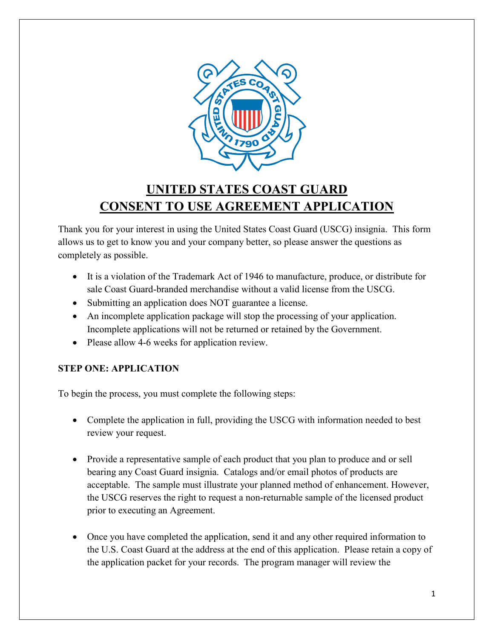

# **UNITED STATES COAST GUARD CONSENT TO USE AGREEMENT APPLICATION**

Thank you for your interest in using the United States Coast Guard (USCG) insignia. This form allows us to get to know you and your company better, so please answer the questions as completely as possible.

- It is a violation of the Trademark Act of 1946 to manufacture, produce, or distribute for sale Coast Guard-branded merchandise without a valid license from the USCG.
- Submitting an application does NOT guarantee a license.
- An incomplete application package will stop the processing of your application. Incomplete applications will not be returned or retained by the Government.
- Please allow 4-6 weeks for application review.

# **STEP ONE: APPLICATION**

To begin the process, you must complete the following steps:

- Complete the application in full, providing the USCG with information needed to best review your request.
- Provide a representative sample of each product that you plan to produce and or sell bearing any Coast Guard insignia. Catalogs and/or email photos of products are acceptable. The sample must illustrate your planned method of enhancement. However, the USCG reserves the right to request a non-returnable sample of the licensed product prior to executing an Agreement.
- Once you have completed the application, send it and any other required information to the U.S. Coast Guard at the address at the end of this application. Please retain a copy of the application packet for your records. The program manager will review the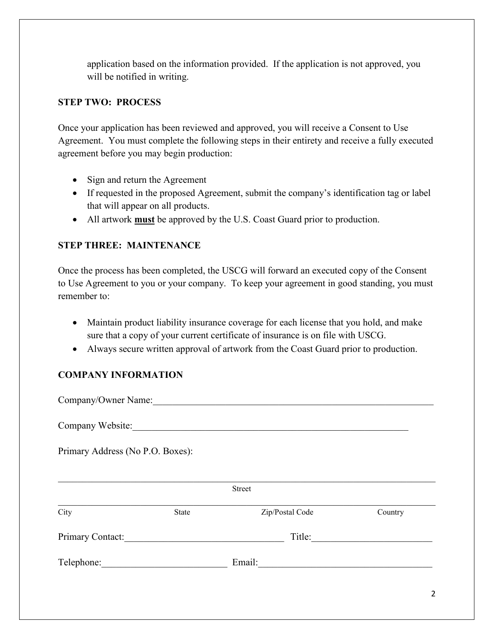application based on the information provided. If the application is not approved, you will be notified in writing.

# **STEP TWO: PROCESS**

Once your application has been reviewed and approved, you will receive a Consent to Use Agreement. You must complete the following steps in their entirety and receive a fully executed agreement before you may begin production:

- Sign and return the Agreement
- If requested in the proposed Agreement, submit the company's identification tag or label that will appear on all products.
- All artwork **must** be approved by the U.S. Coast Guard prior to production.

## **STEP THREE: MAINTENANCE**

Once the process has been completed, the USCG will forward an executed copy of the Consent to Use Agreement to you or your company. To keep your agreement in good standing, you must remember to:

- Maintain product liability insurance coverage for each license that you hold, and make sure that a copy of your current certificate of insurance is on file with USCG.
- Always secure written approval of artwork from the Coast Guard prior to production.

# **COMPANY INFORMATION**

2 Company/Owner Name:\_\_\_\_\_\_\_\_\_\_\_\_\_\_\_\_\_\_\_\_\_\_\_\_\_\_\_\_\_\_\_\_\_\_\_\_\_\_\_\_\_\_\_\_\_\_\_\_\_\_\_\_\_\_\_\_\_\_ Company Website: Primary Address (No P.O. Boxes): \_\_\_\_\_\_\_\_\_\_\_\_\_\_\_\_\_\_\_\_\_\_\_\_\_\_\_\_\_\_\_\_\_\_\_\_\_\_\_\_\_\_\_\_\_\_\_\_\_\_\_\_\_\_\_\_\_\_\_\_\_\_\_\_\_\_\_\_\_\_\_\_\_\_\_\_\_\_ Street \_\_\_\_\_\_\_\_\_\_\_\_\_\_\_\_\_\_\_\_\_\_\_\_\_\_\_\_\_\_\_\_\_\_\_\_\_\_\_\_\_\_\_\_\_\_\_\_\_\_\_\_\_\_\_\_\_\_\_\_\_\_\_\_\_\_\_\_\_\_\_\_\_\_\_\_\_\_ City State Zip/Postal Code Country Primary Contact:\_\_\_\_\_\_\_\_\_\_\_\_\_\_\_\_\_\_\_\_\_\_\_\_\_\_\_\_\_\_\_\_\_ Title:\_\_\_\_\_\_\_\_\_\_\_\_\_\_\_\_\_\_\_\_\_\_\_\_\_ Telephone:\_\_\_\_\_\_\_\_\_\_\_\_\_\_\_\_\_\_\_\_\_\_\_\_\_\_ Email:\_\_\_\_\_\_\_\_\_\_\_\_\_\_\_\_\_\_\_\_\_\_\_\_\_\_\_\_\_\_\_\_\_\_\_\_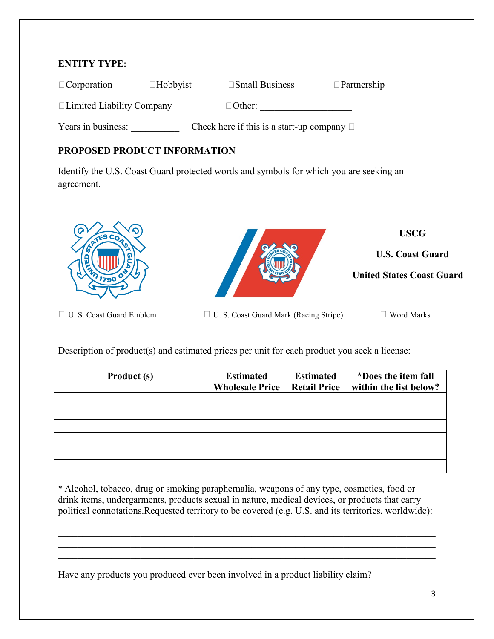## **ENTITY TYPE:**

| $\Box$ Corporation               | $\Box$ Hobbyist | $\square$ Small Business                        | $\Box$ Partnership |
|----------------------------------|-----------------|-------------------------------------------------|--------------------|
| $\Box$ Limited Liability Company |                 | $\Box$ Other:                                   |                    |
| Years in business:               |                 | Check here if this is a start-up company $\Box$ |                    |

# **PROPOSED PRODUCT INFORMATION**

Identify the U.S. Coast Guard protected words and symbols for which you are seeking an agreement.



Description of product(s) and estimated prices per unit for each product you seek a license:

| Product (s) | <b>Estimated</b><br><b>Wholesale Price</b> | <b>Estimated</b><br><b>Retail Price</b> | *Does the item fall<br>within the list below? |
|-------------|--------------------------------------------|-----------------------------------------|-----------------------------------------------|
|             |                                            |                                         |                                               |
|             |                                            |                                         |                                               |
|             |                                            |                                         |                                               |
|             |                                            |                                         |                                               |
|             |                                            |                                         |                                               |
|             |                                            |                                         |                                               |

\* Alcohol, tobacco, drug or smoking paraphernalia, weapons of any type, cosmetics, food or drink items, undergarments, products sexual in nature, medical devices, or products that carry political connotations.Requested territory to be covered (e.g. U.S. and its territories, worldwide):

\_\_\_\_\_\_\_\_\_\_\_\_\_\_\_\_\_\_\_\_\_\_\_\_\_\_\_\_\_\_\_\_\_\_\_\_\_\_\_\_\_\_\_\_\_\_\_\_\_\_\_\_\_\_\_\_\_\_\_\_\_\_\_\_\_\_\_\_\_\_\_\_\_\_\_\_\_\_ \_\_\_\_\_\_\_\_\_\_\_\_\_\_\_\_\_\_\_\_\_\_\_\_\_\_\_\_\_\_\_\_\_\_\_\_\_\_\_\_\_\_\_\_\_\_\_\_\_\_\_\_\_\_\_\_\_\_\_\_\_\_\_\_\_\_\_\_\_\_\_\_\_\_\_\_\_\_

Have any products you produced ever been involved in a product liability claim?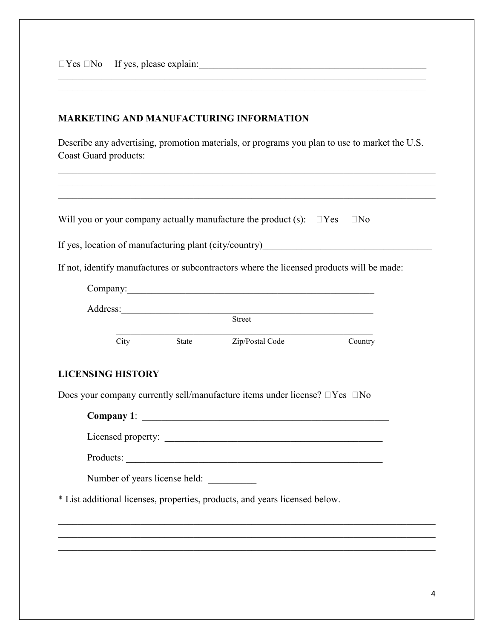$\Box$  Yes  $\Box$  No If yes, please explain:

#### **MARKETING AND MANUFACTURING INFORMATION**

Describe any advertising, promotion materials, or programs you plan to use to market the U.S. Coast Guard products:

\_\_\_\_\_\_\_\_\_\_\_\_\_\_\_\_\_\_\_\_\_\_\_\_\_\_\_\_\_\_\_\_\_\_\_\_\_\_\_\_\_\_\_\_\_\_\_\_\_\_\_\_\_\_\_\_\_\_\_\_\_\_\_\_\_\_\_\_\_\_\_\_\_\_\_\_

|                               | If yes, location of manufacturing plant (city/country)__________________________          |         |
|-------------------------------|-------------------------------------------------------------------------------------------|---------|
|                               | If not, identify manufactures or subcontractors where the licensed products will be made: |         |
|                               | Company: <u>company</u>                                                                   |         |
|                               | Address: Street                                                                           |         |
|                               |                                                                                           |         |
| City                          | State Zip/Postal Code                                                                     | Country |
| <b>LICENSING HISTORY</b>      |                                                                                           |         |
|                               | Does your company currently sell/manufacture items under license? $\Box$ Yes $\Box$ No    |         |
|                               |                                                                                           |         |
|                               |                                                                                           |         |
|                               |                                                                                           |         |
|                               |                                                                                           |         |
|                               |                                                                                           |         |
| Number of years license held: |                                                                                           |         |
|                               | * List additional licenses, properties, products, and years licensed below.               |         |
|                               |                                                                                           |         |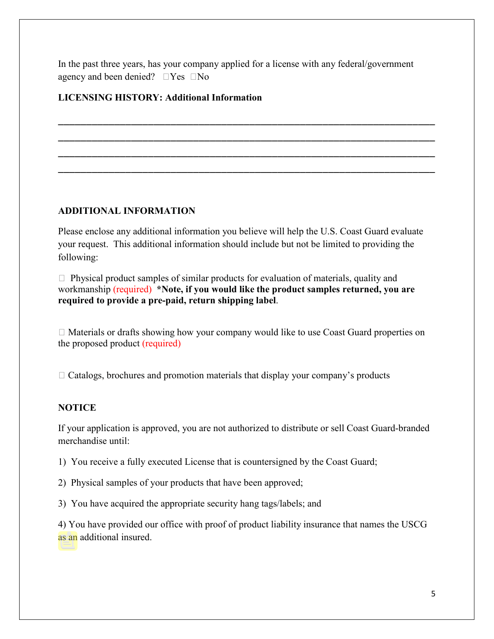In the past three years, has your company applied for a license with any federal/government agency and been denied?  $\Box$  Yes  $\Box$  No

\_\_\_\_\_\_\_\_\_\_\_\_\_\_\_\_\_\_\_\_\_\_\_\_\_\_\_\_\_\_\_\_\_\_\_\_\_\_\_\_\_\_\_\_\_\_\_\_\_\_\_\_\_\_\_\_\_\_\_\_\_\_\_\_\_\_\_ \_\_\_\_\_\_\_\_\_\_\_\_\_\_\_\_\_\_\_\_\_\_\_\_\_\_\_\_\_\_\_\_\_\_\_\_\_\_\_\_\_\_\_\_\_\_\_\_\_\_\_\_\_\_\_\_\_\_\_\_\_\_\_\_\_\_\_ \_\_\_\_\_\_\_\_\_\_\_\_\_\_\_\_\_\_\_\_\_\_\_\_\_\_\_\_\_\_\_\_\_\_\_\_\_\_\_\_\_\_\_\_\_\_\_\_\_\_\_\_\_\_\_\_\_\_\_\_\_\_\_\_\_\_\_ \_\_\_\_\_\_\_\_\_\_\_\_\_\_\_\_\_\_\_\_\_\_\_\_\_\_\_\_\_\_\_\_\_\_\_\_\_\_\_\_\_\_\_\_\_\_\_\_\_\_\_\_\_\_\_\_\_\_\_\_\_\_\_\_\_\_\_

## **LICENSING HISTORY: Additional Information**

#### **ADDITIONAL INFORMATION**

Please enclose any additional information you believe will help the U.S. Coast Guard evaluate your request. This additional information should include but not be limited to providing the following:

 $\Box$  Physical product samples of similar products for evaluation of materials, quality and workmanship (required) **\*Note, if you would like the product samples returned, you are required to provide a pre-paid, return shipping label**.

 Materials or drafts showing how your company would like to use Coast Guard properties on the proposed product (required)

 $\Box$  Catalogs, brochures and promotion materials that display your company's products

### **NOTICE**

If your application is approved, you are not authorized to distribute or sell Coast Guard-branded merchandise until:

1) You receive a fully executed License that is countersigned by the Coast Guard;

2) Physical samples of your products that have been approved;

3) You have acquired the appropriate security hang tags/labels; and

4) You have provided our office with proof of product liability insurance that names the USCG as an additional insured.